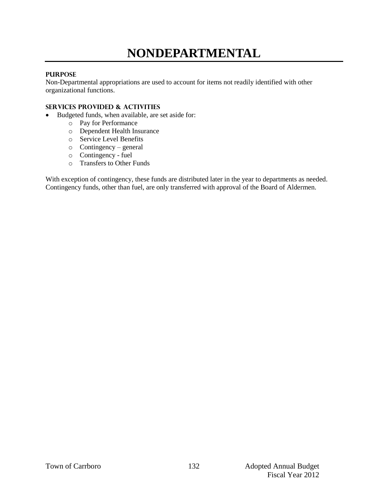# **NONDEPARTMENTAL**

#### **PURPOSE**

Non-Departmental appropriations are used to account for items not readily identified with other organizational functions.

#### **Services provided & activities**

- Budgeted funds, when available, are set aside for:
	- o Pay for Performance
	- o Dependent Health Insurance
	- o Service Level Benefits
	- o Contingency general
	- o Contingency fuel
	- o Transfers to Other Funds

With exception of contingency, these funds are distributed later in the year to departments as needed. Contingency funds, other than fuel, are only transferred with approval of the Board of Aldermen.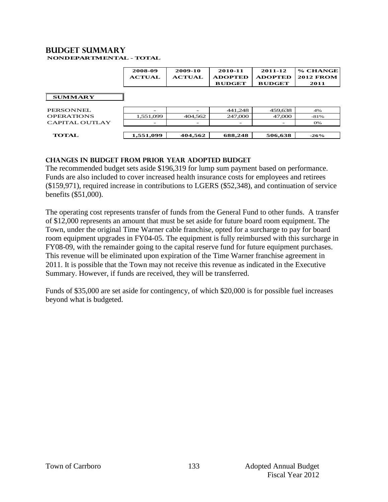#### **Budget summary NONDEPARTMENTAL - TOTAL**

|                   | 2008-09<br><b>ACTUAL</b> | 2009-10<br><b>ACTUAL</b> | 2010-11<br><b>ADOPTED</b><br><b>BUDGET</b> | 2011-12<br><b>ADOPTED</b><br><b>BUDGET</b> | % CHANGE<br><b>2012 FROM</b><br>2011 |
|-------------------|--------------------------|--------------------------|--------------------------------------------|--------------------------------------------|--------------------------------------|
| <b>SUMMARY</b>    |                          |                          |                                            |                                            |                                      |
| PERSONNEL.        |                          |                          | 441,248                                    | 459,638                                    | 4%                                   |
| <b>OPERATIONS</b> | 1,551,099                | 404.562                  | 247,000                                    | 47,000                                     | $-81%$                               |
| CAPITAL OUTLAY    |                          |                          |                                            |                                            | <b>O%</b>                            |
| <b>TOTAL</b>      | 1,551,099                | 404,562                  | 688,248                                    | 506,638                                    | $-26%$                               |

## **changes in budget from prior year adopted budget**

The recommended budget sets aside \$196,319 for lump sum payment based on performance. Funds are also included to cover increased health insurance costs for employees and retirees (\$159,971), required increase in contributions to LGERS (\$52,348), and continuation of service benefits (\$51,000).

The operating cost represents transfer of funds from the General Fund to other funds. A transfer of \$12,000 represents an amount that must be set aside for future board room equipment. The Town, under the original Time Warner cable franchise, opted for a surcharge to pay for board room equipment upgrades in FY04-05. The equipment is fully reimbursed with this surcharge in FY08-09, with the remainder going to the capital reserve fund for future equipment purchases. This revenue will be eliminated upon expiration of the Time Warner franchise agreement in 2011. It is possible that the Town may not receive this revenue as indicated in the Executive Summary. However, if funds are received, they will be transferred.

Funds of \$35,000 are set aside for contingency, of which \$20,000 is for possible fuel increases beyond what is budgeted.